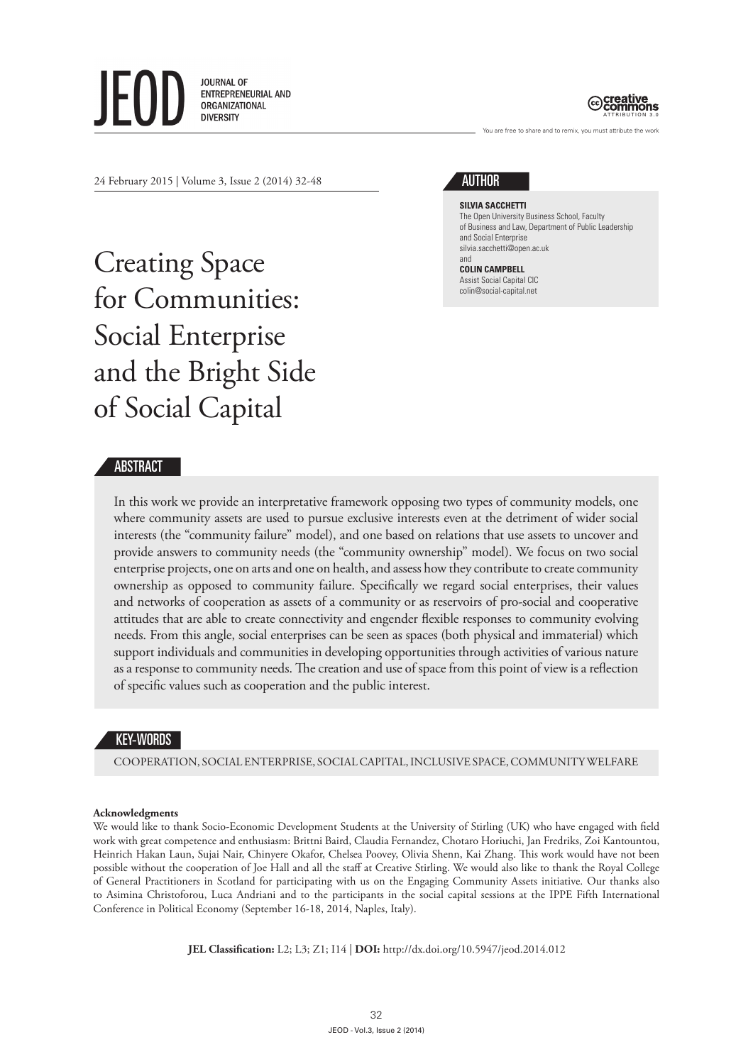**JOURNAL OF FNTRFPRFNFURIAL AND** ORGANIZATIONAL **DIVERSITY** 



You are free to share and to remix, you must attribute the work

24 February 2015 | Volume 3, Issue 2 (2014) 32-48

Creating Space for Communities: Social Enterprise and the Bright Side of Social Capital

# AUTHOR

**SILVIA SACCHETTI** The Open University Business School, Faculty of Business and Law, Department of Public Leadership and Social Enterprise silvia.sacchetti@open.ac.uk and

**COLIN CAMPBELL** Assist Social Capital CIC colin@social-capital.net

## ABSTRACT

In this work we provide an interpretative framework opposing two types of community models, one where community assets are used to pursue exclusive interests even at the detriment of wider social interests (the "community failure" model), and one based on relations that use assets to uncover and provide answers to community needs (the "community ownership" model). We focus on two social enterprise projects, one on arts and one on health, and assess how they contribute to create community ownership as opposed to community failure. Specifically we regard social enterprises, their values and networks of cooperation as assets of a community or as reservoirs of pro-social and cooperative attitudes that are able to create connectivity and engender flexible responses to community evolving needs. From this angle, social enterprises can be seen as spaces (both physical and immaterial) which support individuals and communities in developing opportunities through activities of various nature as a response to community needs. The creation and use of space from this point of view is a reflection of specific values such as cooperation and the public interest.

#### KEY-WORDS

COOPERATION, SOCIAL ENTERPRISE, SOCIAL CAPITAL, INCLUSIVE SPACE, COMMUNITY WELFARE

#### **Acknowledgments**

We would like to thank Socio-Economic Development Students at the University of Stirling (UK) who have engaged with field work with great competence and enthusiasm: Brittni Baird, Claudia Fernandez, Chotaro Horiuchi, Jan Fredriks, Zoi Kantountou, Heinrich Hakan Laun, Sujai Nair, Chinyere Okafor, Chelsea Poovey, Olivia Shenn, Kai Zhang. This work would have not been possible without the cooperation of Joe Hall and all the staff at Creative Stirling. We would also like to thank the Royal College of General Practitioners in Scotland for participating with us on the Engaging Community Assets initiative. Our thanks also to Asimina Christoforou, Luca Andriani and to the participants in the social capital sessions at the IPPE Fifth International Conference in Political Economy (September 16-18, 2014, Naples, Italy).

**JEL Classification:** L2; L3; Z1; I14 | **DOI:** http://dx.doi.org/10.5947/jeod.2014.012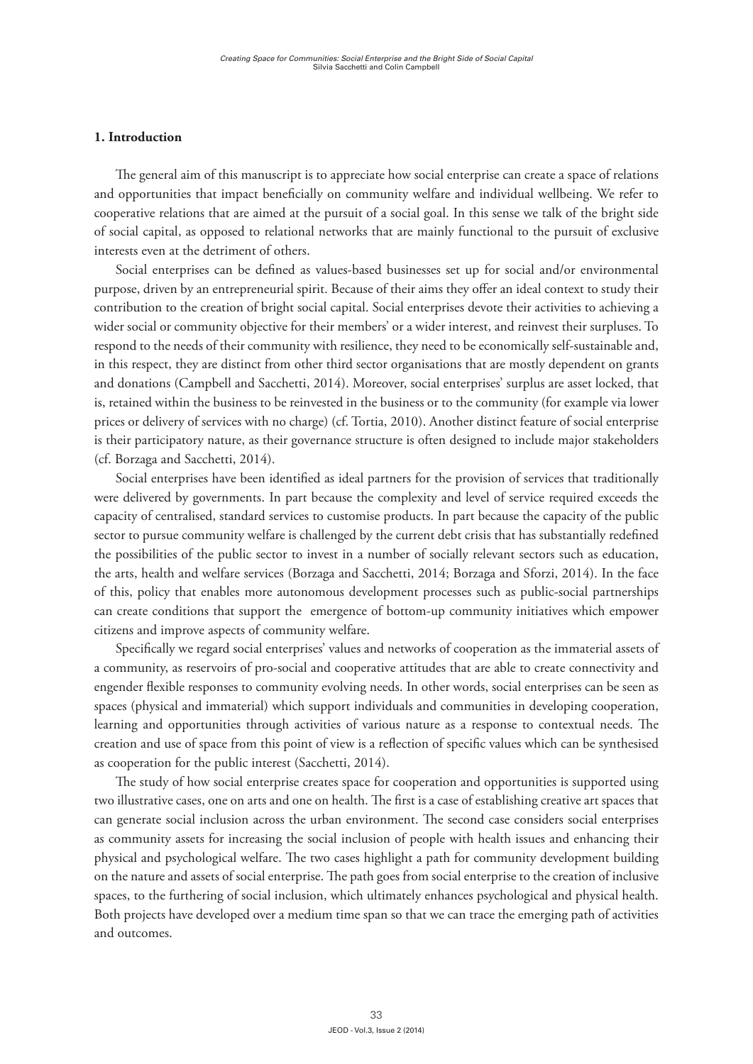### **1. Introduction**

The general aim of this manuscript is to appreciate how social enterprise can create a space of relations and opportunities that impact beneficially on community welfare and individual wellbeing. We refer to cooperative relations that are aimed at the pursuit of a social goal. In this sense we talk of the bright side of social capital, as opposed to relational networks that are mainly functional to the pursuit of exclusive interests even at the detriment of others.

Social enterprises can be defined as values-based businesses set up for social and/or environmental purpose, driven by an entrepreneurial spirit. Because of their aims they offer an ideal context to study their contribution to the creation of bright social capital. Social enterprises devote their activities to achieving a wider social or community objective for their members' or a wider interest, and reinvest their surpluses. To respond to the needs of their community with resilience, they need to be economically self-sustainable and, in this respect, they are distinct from other third sector organisations that are mostly dependent on grants and donations (Campbell and Sacchetti, 2014). Moreover, social enterprises' surplus are asset locked, that is, retained within the business to be reinvested in the business or to the community (for example via lower prices or delivery of services with no charge) (cf. Tortia, 2010). Another distinct feature of social enterprise is their participatory nature, as their governance structure is often designed to include major stakeholders (cf. Borzaga and Sacchetti, 2014).

Social enterprises have been identified as ideal partners for the provision of services that traditionally were delivered by governments. In part because the complexity and level of service required exceeds the capacity of centralised, standard services to customise products. In part because the capacity of the public sector to pursue community welfare is challenged by the current debt crisis that has substantially redefined the possibilities of the public sector to invest in a number of socially relevant sectors such as education, the arts, health and welfare services (Borzaga and Sacchetti, 2014; Borzaga and Sforzi, 2014). In the face of this, policy that enables more autonomous development processes such as public-social partnerships can create conditions that support the emergence of bottom-up community initiatives which empower citizens and improve aspects of community welfare.

Specifically we regard social enterprises' values and networks of cooperation as the immaterial assets of a community, as reservoirs of pro-social and cooperative attitudes that are able to create connectivity and engender flexible responses to community evolving needs. In other words, social enterprises can be seen as spaces (physical and immaterial) which support individuals and communities in developing cooperation, learning and opportunities through activities of various nature as a response to contextual needs. The creation and use of space from this point of view is a reflection of specific values which can be synthesised as cooperation for the public interest (Sacchetti, 2014).

The study of how social enterprise creates space for cooperation and opportunities is supported using two illustrative cases, one on arts and one on health. The first is a case of establishing creative art spaces that can generate social inclusion across the urban environment. The second case considers social enterprises as community assets for increasing the social inclusion of people with health issues and enhancing their physical and psychological welfare. The two cases highlight a path for community development building on the nature and assets of social enterprise. The path goes from social enterprise to the creation of inclusive spaces, to the furthering of social inclusion, which ultimately enhances psychological and physical health. Both projects have developed over a medium time span so that we can trace the emerging path of activities and outcomes.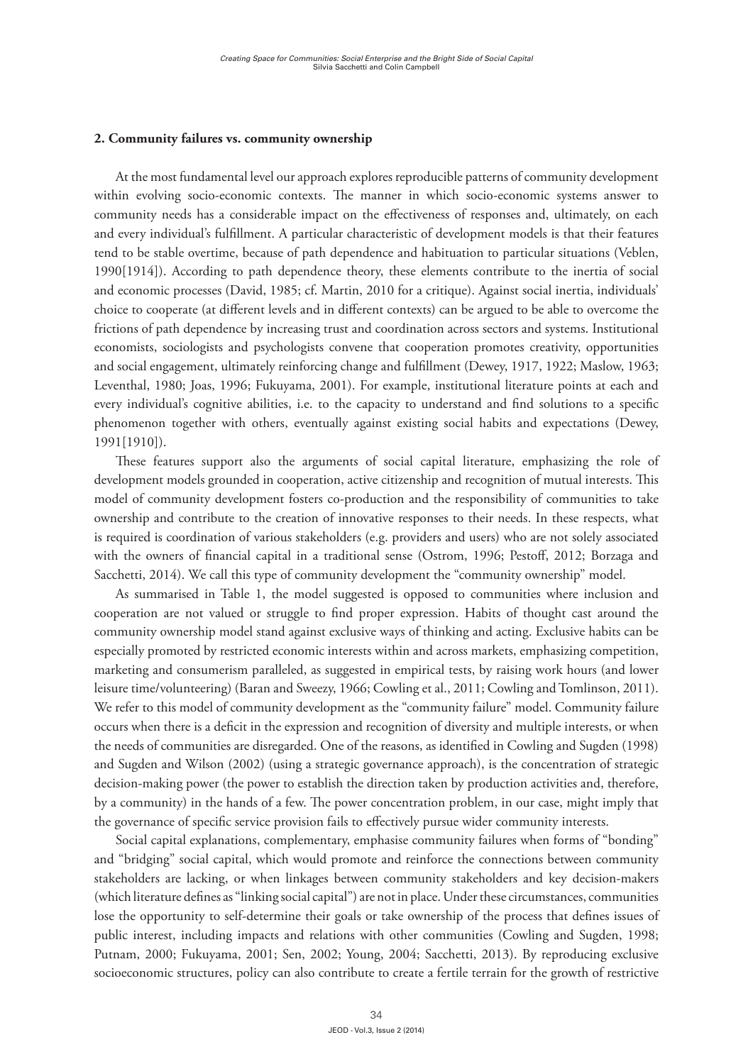### **2. Community failures vs. community ownership**

At the most fundamental level our approach explores reproducible patterns of community development within evolving socio-economic contexts. The manner in which socio-economic systems answer to community needs has a considerable impact on the effectiveness of responses and, ultimately, on each and every individual's fulfillment. A particular characteristic of development models is that their features tend to be stable overtime, because of path dependence and habituation to particular situations (Veblen, 1990[1914]). According to path dependence theory, these elements contribute to the inertia of social and economic processes (David, 1985; cf. Martin, 2010 for a critique). Against social inertia, individuals' choice to cooperate (at different levels and in different contexts) can be argued to be able to overcome the frictions of path dependence by increasing trust and coordination across sectors and systems. Institutional economists, sociologists and psychologists convene that cooperation promotes creativity, opportunities and social engagement, ultimately reinforcing change and fulfillment (Dewey, 1917, 1922; Maslow, 1963; Leventhal, 1980; Joas, 1996; Fukuyama, 2001). For example, institutional literature points at each and every individual's cognitive abilities, i.e. to the capacity to understand and find solutions to a specific phenomenon together with others, eventually against existing social habits and expectations (Dewey, 1991[1910]).

These features support also the arguments of social capital literature, emphasizing the role of development models grounded in cooperation, active citizenship and recognition of mutual interests. This model of community development fosters co-production and the responsibility of communities to take ownership and contribute to the creation of innovative responses to their needs. In these respects, what is required is coordination of various stakeholders (e.g. providers and users) who are not solely associated with the owners of financial capital in a traditional sense (Ostrom, 1996; Pestoff, 2012; Borzaga and Sacchetti, 2014). We call this type of community development the "community ownership" model.

As summarised in Table 1, the model suggested is opposed to communities where inclusion and cooperation are not valued or struggle to find proper expression. Habits of thought cast around the community ownership model stand against exclusive ways of thinking and acting. Exclusive habits can be especially promoted by restricted economic interests within and across markets, emphasizing competition, marketing and consumerism paralleled, as suggested in empirical tests, by raising work hours (and lower leisure time/volunteering) (Baran and Sweezy, 1966; Cowling et al., 2011; Cowling and Tomlinson, 2011). We refer to this model of community development as the "community failure" model. Community failure occurs when there is a deficit in the expression and recognition of diversity and multiple interests, or when the needs of communities are disregarded. One of the reasons, as identified in Cowling and Sugden (1998) and Sugden and Wilson (2002) (using a strategic governance approach), is the concentration of strategic decision-making power (the power to establish the direction taken by production activities and, therefore, by a community) in the hands of a few. The power concentration problem, in our case, might imply that the governance of specific service provision fails to effectively pursue wider community interests.

Social capital explanations, complementary, emphasise community failures when forms of "bonding" and "bridging" social capital, which would promote and reinforce the connections between community stakeholders are lacking, or when linkages between community stakeholders and key decision-makers (which literature defines as "linking social capital") are not in place. Under these circumstances, communities lose the opportunity to self-determine their goals or take ownership of the process that defines issues of public interest, including impacts and relations with other communities (Cowling and Sugden, 1998; Putnam, 2000; Fukuyama, 2001; Sen, 2002; Young, 2004; Sacchetti, 2013). By reproducing exclusive socioeconomic structures, policy can also contribute to create a fertile terrain for the growth of restrictive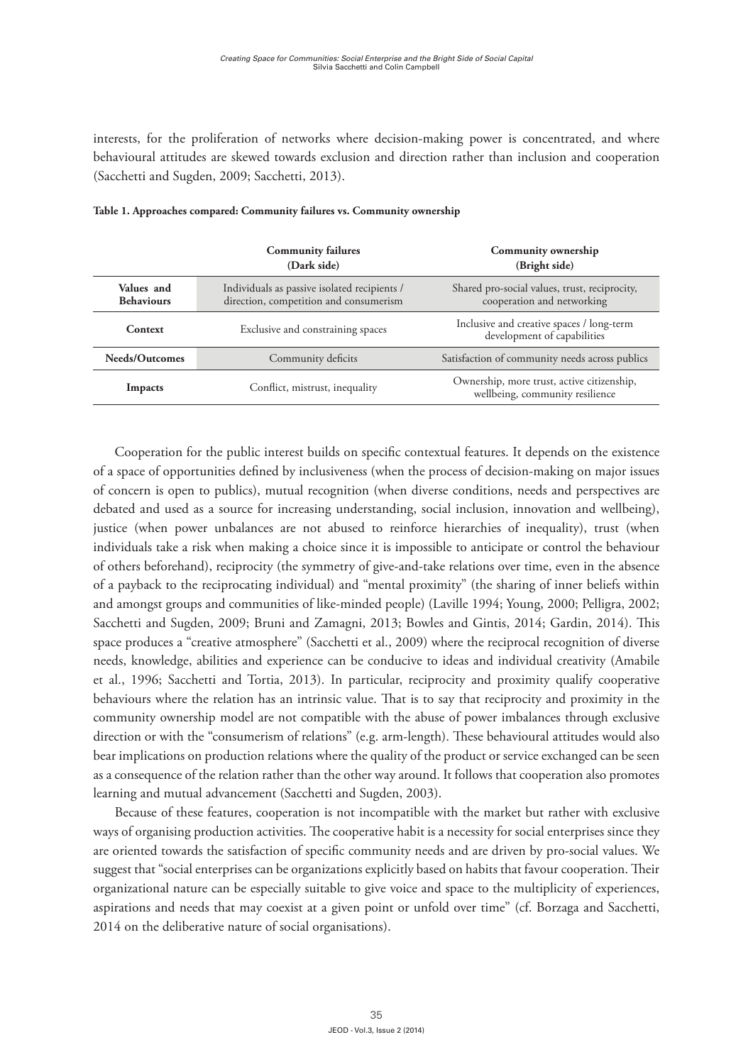interests, for the proliferation of networks where decision-making power is concentrated, and where behavioural attitudes are skewed towards exclusion and direction rather than inclusion and cooperation (Sacchetti and Sugden, 2009; Sacchetti, 2013).

|                                 | <b>Community failures</b><br>(Dark side)                                               | Community ownership<br>(Bright side)                                          |
|---------------------------------|----------------------------------------------------------------------------------------|-------------------------------------------------------------------------------|
| Values and<br><b>Behaviours</b> | Individuals as passive isolated recipients /<br>direction, competition and consumerism | Shared pro-social values, trust, reciprocity,<br>cooperation and networking   |
| Context                         | Exclusive and constraining spaces                                                      | Inclusive and creative spaces / long-term<br>development of capabilities      |
| Needs/Outcomes                  | Community deficits                                                                     | Satisfaction of community needs across publics                                |
| Impacts                         | Conflict, mistrust, inequality                                                         | Ownership, more trust, active citizenship,<br>wellbeing, community resilience |

#### **Table 1. Approaches compared: Community failures vs. Community ownership**

Cooperation for the public interest builds on specific contextual features. It depends on the existence of a space of opportunities defined by inclusiveness (when the process of decision-making on major issues of concern is open to publics), mutual recognition (when diverse conditions, needs and perspectives are debated and used as a source for increasing understanding, social inclusion, innovation and wellbeing), justice (when power unbalances are not abused to reinforce hierarchies of inequality), trust (when individuals take a risk when making a choice since it is impossible to anticipate or control the behaviour of others beforehand), reciprocity (the symmetry of give-and-take relations over time, even in the absence of a payback to the reciprocating individual) and "mental proximity" (the sharing of inner beliefs within and amongst groups and communities of like-minded people) (Laville 1994; Young, 2000; Pelligra, 2002; Sacchetti and Sugden, 2009; Bruni and Zamagni, 2013; Bowles and Gintis, 2014; Gardin, 2014). This space produces a "creative atmosphere" (Sacchetti et al., 2009) where the reciprocal recognition of diverse needs, knowledge, abilities and experience can be conducive to ideas and individual creativity (Amabile et al., 1996; Sacchetti and Tortia, 2013). In particular, reciprocity and proximity qualify cooperative behaviours where the relation has an intrinsic value. That is to say that reciprocity and proximity in the community ownership model are not compatible with the abuse of power imbalances through exclusive direction or with the "consumerism of relations" (e.g. arm-length). These behavioural attitudes would also bear implications on production relations where the quality of the product or service exchanged can be seen as a consequence of the relation rather than the other way around. It follows that cooperation also promotes learning and mutual advancement (Sacchetti and Sugden, 2003).

Because of these features, cooperation is not incompatible with the market but rather with exclusive ways of organising production activities. The cooperative habit is a necessity for social enterprises since they are oriented towards the satisfaction of specific community needs and are driven by pro-social values. We suggest that "social enterprises can be organizations explicitly based on habits that favour cooperation. Their organizational nature can be especially suitable to give voice and space to the multiplicity of experiences, aspirations and needs that may coexist at a given point or unfold over time" (cf. Borzaga and Sacchetti, 2014 on the deliberative nature of social organisations).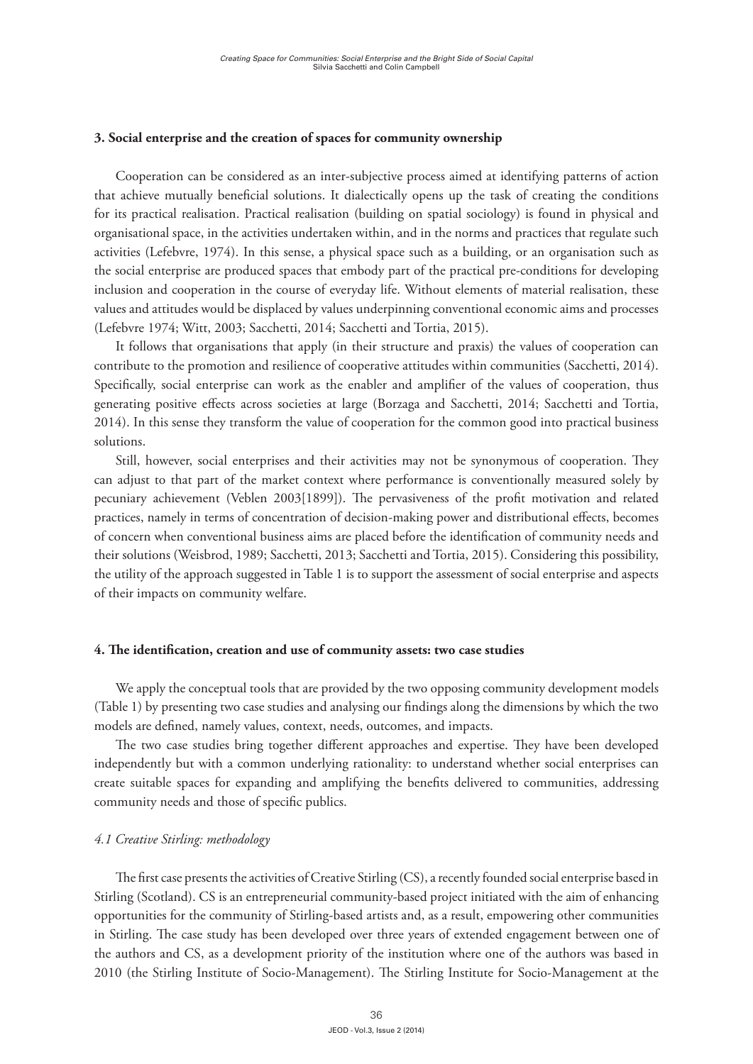#### **3. Social enterprise and the creation of spaces for community ownership**

Cooperation can be considered as an inter-subjective process aimed at identifying patterns of action that achieve mutually beneficial solutions. It dialectically opens up the task of creating the conditions for its practical realisation. Practical realisation (building on spatial sociology) is found in physical and organisational space, in the activities undertaken within, and in the norms and practices that regulate such activities (Lefebvre, 1974). In this sense, a physical space such as a building, or an organisation such as the social enterprise are produced spaces that embody part of the practical pre-conditions for developing inclusion and cooperation in the course of everyday life. Without elements of material realisation, these values and attitudes would be displaced by values underpinning conventional economic aims and processes (Lefebvre 1974; Witt, 2003; Sacchetti, 2014; Sacchetti and Tortia, 2015).

It follows that organisations that apply (in their structure and praxis) the values of cooperation can contribute to the promotion and resilience of cooperative attitudes within communities (Sacchetti, 2014). Specifically, social enterprise can work as the enabler and amplifier of the values of cooperation, thus generating positive effects across societies at large (Borzaga and Sacchetti, 2014; Sacchetti and Tortia, 2014). In this sense they transform the value of cooperation for the common good into practical business solutions.

Still, however, social enterprises and their activities may not be synonymous of cooperation. They can adjust to that part of the market context where performance is conventionally measured solely by pecuniary achievement (Veblen 2003[1899]). The pervasiveness of the profit motivation and related practices, namely in terms of concentration of decision-making power and distributional effects, becomes of concern when conventional business aims are placed before the identification of community needs and their solutions (Weisbrod, 1989; Sacchetti, 2013; Sacchetti and Tortia, 2015). Considering this possibility, the utility of the approach suggested in Table 1 is to support the assessment of social enterprise and aspects of their impacts on community welfare.

#### **4. The identification, creation and use of community assets: two case studies**

We apply the conceptual tools that are provided by the two opposing community development models (Table 1) by presenting two case studies and analysing our findings along the dimensions by which the two models are defined, namely values, context, needs, outcomes, and impacts.

The two case studies bring together different approaches and expertise. They have been developed independently but with a common underlying rationality: to understand whether social enterprises can create suitable spaces for expanding and amplifying the benefits delivered to communities, addressing community needs and those of specific publics.

#### *4.1 Creative Stirling: methodology*

The first case presents the activities of Creative Stirling (CS), a recently founded social enterprise based in Stirling (Scotland). CS is an entrepreneurial community-based project initiated with the aim of enhancing opportunities for the community of Stirling-based artists and, as a result, empowering other communities in Stirling. The case study has been developed over three years of extended engagement between one of the authors and CS, as a development priority of the institution where one of the authors was based in 2010 (the Stirling Institute of Socio-Management). The Stirling Institute for Socio-Management at the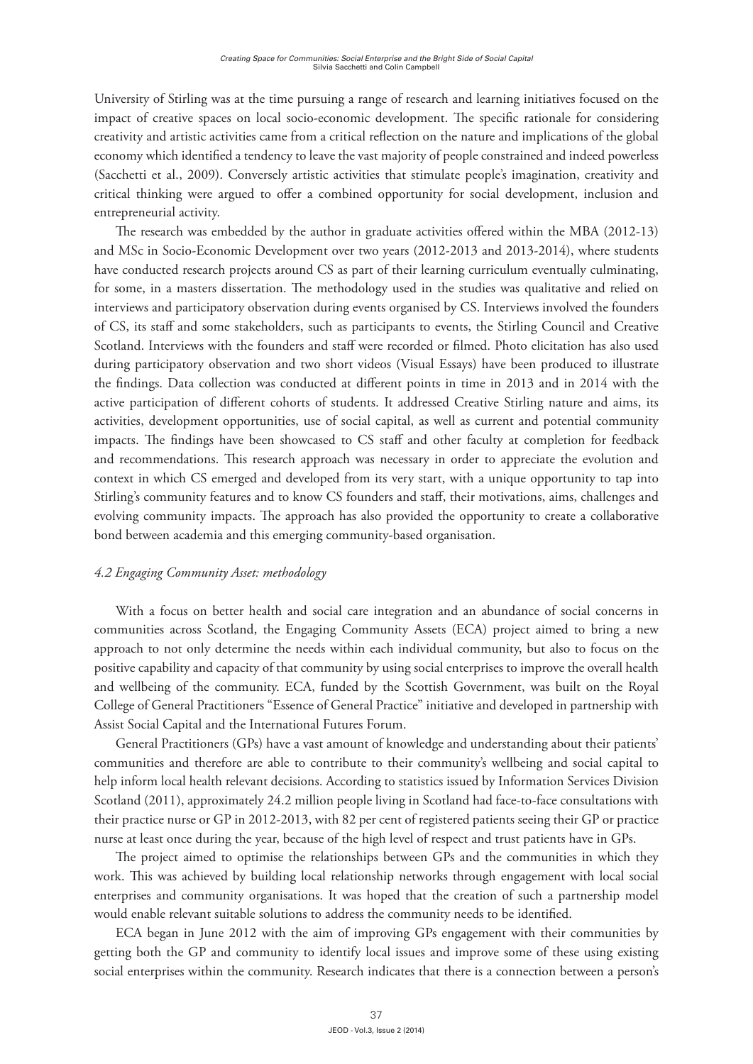University of Stirling was at the time pursuing a range of research and learning initiatives focused on the impact of creative spaces on local socio-economic development. The specific rationale for considering creativity and artistic activities came from a critical reflection on the nature and implications of the global economy which identified a tendency to leave the vast majority of people constrained and indeed powerless (Sacchetti et al., 2009). Conversely artistic activities that stimulate people's imagination, creativity and critical thinking were argued to offer a combined opportunity for social development, inclusion and entrepreneurial activity.

The research was embedded by the author in graduate activities offered within the MBA (2012-13) and MSc in Socio-Economic Development over two years (2012-2013 and 2013-2014), where students have conducted research projects around CS as part of their learning curriculum eventually culminating, for some, in a masters dissertation. The methodology used in the studies was qualitative and relied on interviews and participatory observation during events organised by CS. Interviews involved the founders of CS, its staff and some stakeholders, such as participants to events, the Stirling Council and Creative Scotland. Interviews with the founders and staff were recorded or filmed. Photo elicitation has also used during participatory observation and two short videos (Visual Essays) have been produced to illustrate the findings. Data collection was conducted at different points in time in 2013 and in 2014 with the active participation of different cohorts of students. It addressed Creative Stirling nature and aims, its activities, development opportunities, use of social capital, as well as current and potential community impacts. The findings have been showcased to CS staff and other faculty at completion for feedback and recommendations. This research approach was necessary in order to appreciate the evolution and context in which CS emerged and developed from its very start, with a unique opportunity to tap into Stirling's community features and to know CS founders and staff, their motivations, aims, challenges and evolving community impacts. The approach has also provided the opportunity to create a collaborative bond between academia and this emerging community-based organisation.

## *4.2 Engaging Community Asset: methodology*

With a focus on better health and social care integration and an abundance of social concerns in communities across Scotland, the Engaging Community Assets (ECA) project aimed to bring a new approach to not only determine the needs within each individual community, but also to focus on the positive capability and capacity of that community by using social enterprises to improve the overall health and wellbeing of the community. ECA, funded by the Scottish Government, was built on the Royal College of General Practitioners "Essence of General Practice" initiative and developed in partnership with Assist Social Capital and the International Futures Forum.

General Practitioners (GPs) have a vast amount of knowledge and understanding about their patients' communities and therefore are able to contribute to their community's wellbeing and social capital to help inform local health relevant decisions. According to statistics issued by Information Services Division Scotland (2011), approximately 24.2 million people living in Scotland had face-to-face consultations with their practice nurse or GP in 2012-2013, with 82 per cent of registered patients seeing their GP or practice nurse at least once during the year, because of the high level of respect and trust patients have in GPs.

The project aimed to optimise the relationships between GPs and the communities in which they work. This was achieved by building local relationship networks through engagement with local social enterprises and community organisations. It was hoped that the creation of such a partnership model would enable relevant suitable solutions to address the community needs to be identified.

ECA began in June 2012 with the aim of improving GPs engagement with their communities by getting both the GP and community to identify local issues and improve some of these using existing social enterprises within the community. Research indicates that there is a connection between a person's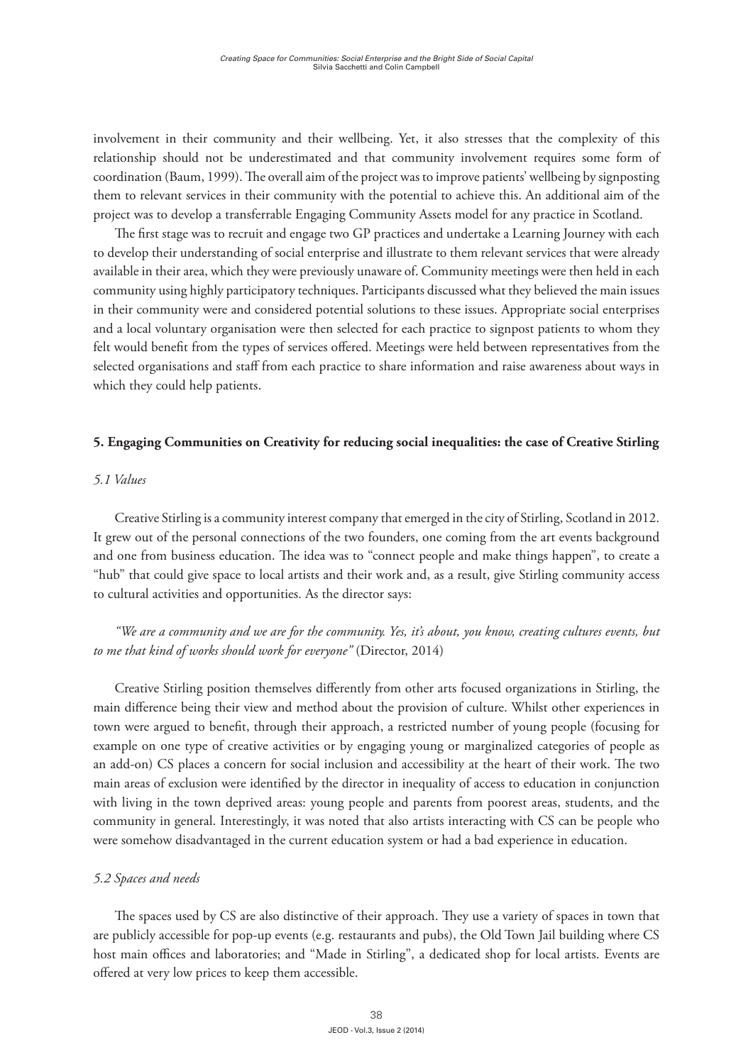involvement in their community and their wellbeing. Yet, it also stresses that the complexity of this relationship should not be underestimated and that community involvement requires some form of coordination (Baum, 1999). The overall aim of the project was to improve patients' wellbeing by signposting them to relevant services in their community with the potential to achieve this. An additional aim of the project was to develop a transferrable Engaging Community Assets model for any practice in Scotland.

The first stage was to recruit and engage two GP practices and undertake a Learning Journey with each to develop their understanding of social enterprise and illustrate to them relevant services that were already available in their area, which they were previously unaware of. Community meetings were then held in each community using highly participatory techniques. Participants discussed what they believed the main issues in their community were and considered potential solutions to these issues. Appropriate social enterprises and a local voluntary organisation were then selected for each practice to signpost patients to whom they felt would benefit from the types of services offered. Meetings were held between representatives from the selected organisations and staff from each practice to share information and raise awareness about ways in which they could help patients.

## **5. Engaging Communities on Creativity for reducing social inequalities: the case of Creative Stirling**

## *5.1 Values*

Creative Stirling is a community interest company that emerged in the city of Stirling, Scotland in 2012. It grew out of the personal connections of the two founders, one coming from the art events background and one from business education. The idea was to "connect people and make things happen", to create a "hub" that could give space to local artists and their work and, as a result, give Stirling community access to cultural activities and opportunities. As the director says:

*"We are a community and we are for the community. Yes, it's about, you know, creating cultures events, but to me that kind of works should work for everyone"* (Director, 2014)

Creative Stirling position themselves differently from other arts focused organizations in Stirling, the main difference being their view and method about the provision of culture. Whilst other experiences in town were argued to benefit, through their approach, a restricted number of young people (focusing for example on one type of creative activities or by engaging young or marginalized categories of people as an add-on) CS places a concern for social inclusion and accessibility at the heart of their work. The two main areas of exclusion were identified by the director in inequality of access to education in conjunction with living in the town deprived areas: young people and parents from poorest areas, students, and the community in general. Interestingly, it was noted that also artists interacting with CS can be people who were somehow disadvantaged in the current education system or had a bad experience in education.

## *5.2 Spaces and needs*

The spaces used by CS are also distinctive of their approach. They use a variety of spaces in town that are publicly accessible for pop-up events (e.g. restaurants and pubs), the Old Town Jail building where CS host main offices and laboratories; and "Made in Stirling", a dedicated shop for local artists. Events are offered at very low prices to keep them accessible.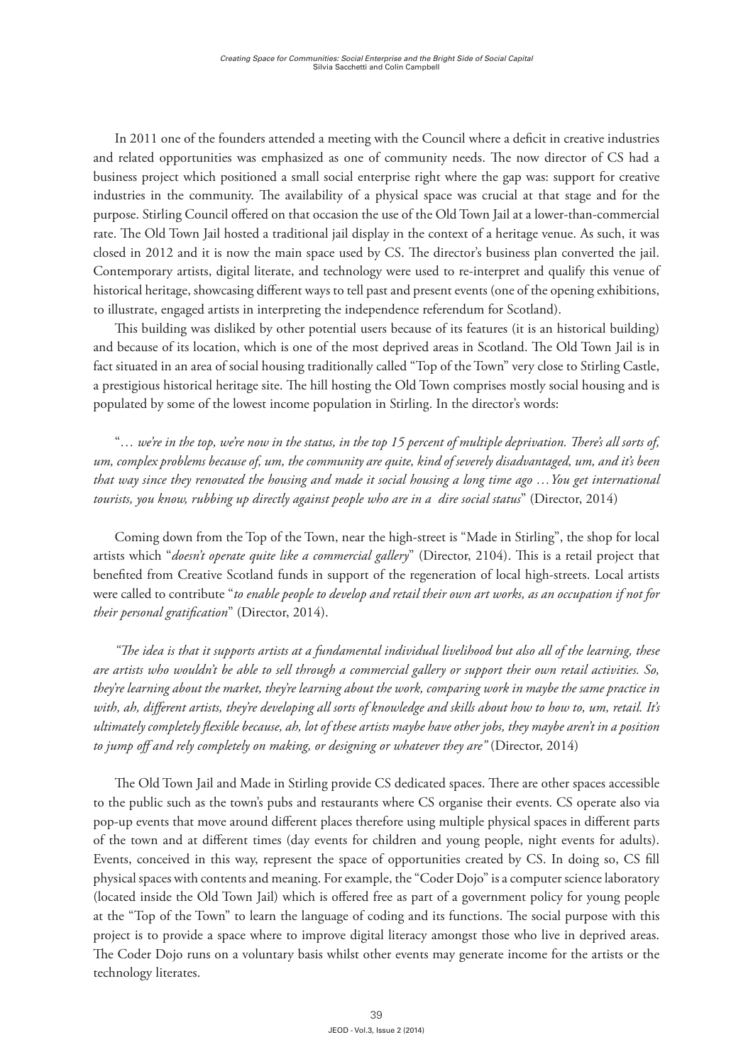In 2011 one of the founders attended a meeting with the Council where a deficit in creative industries and related opportunities was emphasized as one of community needs. The now director of CS had a business project which positioned a small social enterprise right where the gap was: support for creative industries in the community. The availability of a physical space was crucial at that stage and for the purpose. Stirling Council offered on that occasion the use of the Old Town Jail at a lower-than-commercial rate. The Old Town Jail hosted a traditional jail display in the context of a heritage venue. As such, it was closed in 2012 and it is now the main space used by CS. The director's business plan converted the jail. Contemporary artists, digital literate, and technology were used to re-interpret and qualify this venue of historical heritage, showcasing different ways to tell past and present events (one of the opening exhibitions, to illustrate, engaged artists in interpreting the independence referendum for Scotland).

This building was disliked by other potential users because of its features (it is an historical building) and because of its location, which is one of the most deprived areas in Scotland. The Old Town Jail is in fact situated in an area of social housing traditionally called "Top of the Town" very close to Stirling Castle, a prestigious historical heritage site. The hill hosting the Old Town comprises mostly social housing and is populated by some of the lowest income population in Stirling. In the director's words:

"*… we're in the top, we're now in the status, in the top 15 percent of multiple deprivation. There's all sorts of, um, complex problems because of, um, the community are quite, kind of severely disadvantaged, um, and it's been that way since they renovated the housing and made it social housing a long time ago …You get international tourists, you know, rubbing up directly against people who are in a dire social status*" (Director, 2014)

Coming down from the Top of the Town, near the high-street is "Made in Stirling", the shop for local artists which "*doesn't operate quite like a commercial gallery*" (Director, 2104). This is a retail project that benefited from Creative Scotland funds in support of the regeneration of local high-streets. Local artists were called to contribute "*to enable people to develop and retail their own art works, as an occupation if not for their personal gratification*" (Director, 2014).

*"The idea is that it supports artists at a fundamental individual livelihood but also all of the learning, these are artists who wouldn't be able to sell through a commercial gallery or support their own retail activities. So, they're learning about the market, they're learning about the work, comparing work in maybe the same practice in with, ah, different artists, they're developing all sorts of knowledge and skills about how to how to, um, retail. It's ultimately completely flexible because, ah, lot of these artists maybe have other jobs, they maybe aren't in a position to jump off and rely completely on making, or designing or whatever they are"* (Director, 2014)

The Old Town Jail and Made in Stirling provide CS dedicated spaces. There are other spaces accessible to the public such as the town's pubs and restaurants where CS organise their events. CS operate also via pop-up events that move around different places therefore using multiple physical spaces in different parts of the town and at different times (day events for children and young people, night events for adults). Events, conceived in this way, represent the space of opportunities created by CS. In doing so, CS fill physical spaces with contents and meaning. For example, the "Coder Dojo" is a computer science laboratory (located inside the Old Town Jail) which is offered free as part of a government policy for young people at the "Top of the Town" to learn the language of coding and its functions. The social purpose with this project is to provide a space where to improve digital literacy amongst those who live in deprived areas. The Coder Dojo runs on a voluntary basis whilst other events may generate income for the artists or the technology literates.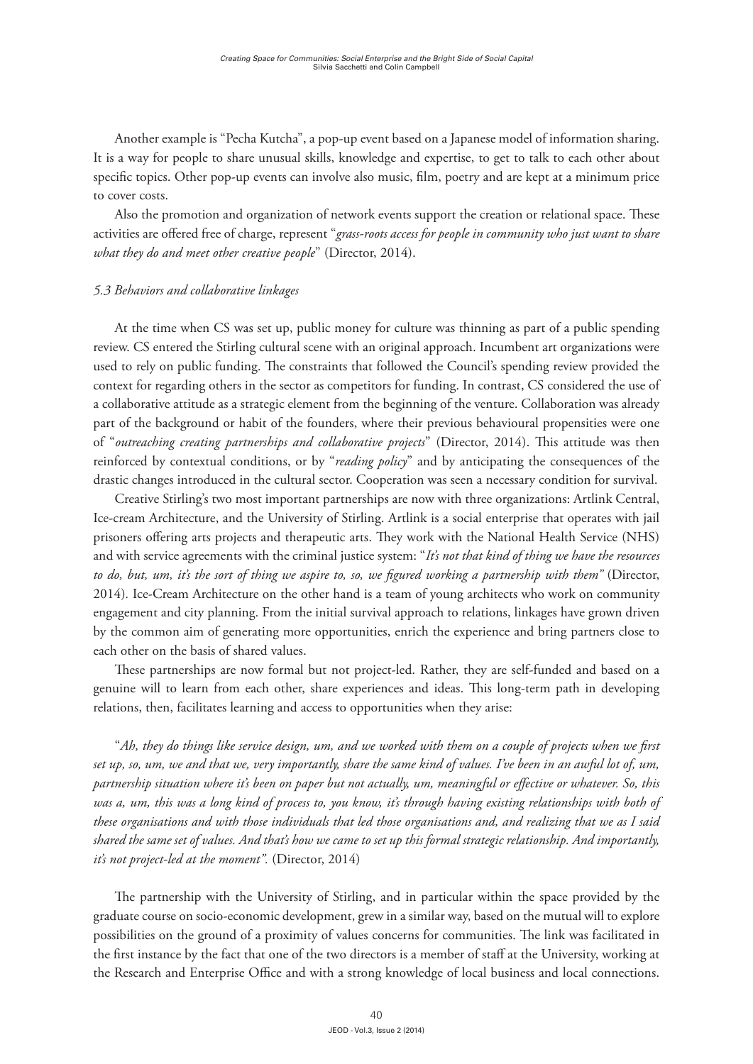Another example is "Pecha Kutcha", a pop-up event based on a Japanese model of information sharing. It is a way for people to share unusual skills, knowledge and expertise, to get to talk to each other about specific topics. Other pop-up events can involve also music, film, poetry and are kept at a minimum price to cover costs.

Also the promotion and organization of network events support the creation or relational space. These activities are offered free of charge, represent "*grass-roots access for people in community who just want to share what they do and meet other creative people*" (Director, 2014).

#### *5.3 Behaviors and collaborative linkages*

At the time when CS was set up, public money for culture was thinning as part of a public spending review. CS entered the Stirling cultural scene with an original approach. Incumbent art organizations were used to rely on public funding. The constraints that followed the Council's spending review provided the context for regarding others in the sector as competitors for funding. In contrast, CS considered the use of a collaborative attitude as a strategic element from the beginning of the venture. Collaboration was already part of the background or habit of the founders, where their previous behavioural propensities were one of "*outreaching creating partnerships and collaborative projects*" (Director, 2014). This attitude was then reinforced by contextual conditions, or by "*reading policy*" and by anticipating the consequences of the drastic changes introduced in the cultural sector. Cooperation was seen a necessary condition for survival.

Creative Stirling's two most important partnerships are now with three organizations: Artlink Central, Ice-cream Architecture, and the University of Stirling. Artlink is a social enterprise that operates with jail prisoners offering arts projects and therapeutic arts. They work with the National Health Service (NHS) and with service agreements with the criminal justice system: "*It's not that kind of thing we have the resources to do, but, um, it's the sort of thing we aspire to, so, we figured working a partnership with them"* (Director, 2014)*.* Ice-Cream Architecture on the other hand is a team of young architects who work on community engagement and city planning. From the initial survival approach to relations, linkages have grown driven by the common aim of generating more opportunities, enrich the experience and bring partners close to each other on the basis of shared values.

These partnerships are now formal but not project-led. Rather, they are self-funded and based on a genuine will to learn from each other, share experiences and ideas. This long-term path in developing relations, then, facilitates learning and access to opportunities when they arise:

"*Ah, they do things like service design, um, and we worked with them on a couple of projects when we first set up, so, um, we and that we, very importantly, share the same kind of values. I've been in an awful lot of, um, partnership situation where it's been on paper but not actually, um, meaningful or effective or whatever. So, this was a, um, this was a long kind of process to, you know, it's through having existing relationships with both of these organisations and with those individuals that led those organisations and, and realizing that we as I said shared the same set of values. And that's how we came to set up this formal strategic relationship. And importantly, it's not project-led at the moment".* (Director, 2014)

The partnership with the University of Stirling, and in particular within the space provided by the graduate course on socio-economic development, grew in a similar way, based on the mutual will to explore possibilities on the ground of a proximity of values concerns for communities. The link was facilitated in the first instance by the fact that one of the two directors is a member of staff at the University, working at the Research and Enterprise Office and with a strong knowledge of local business and local connections.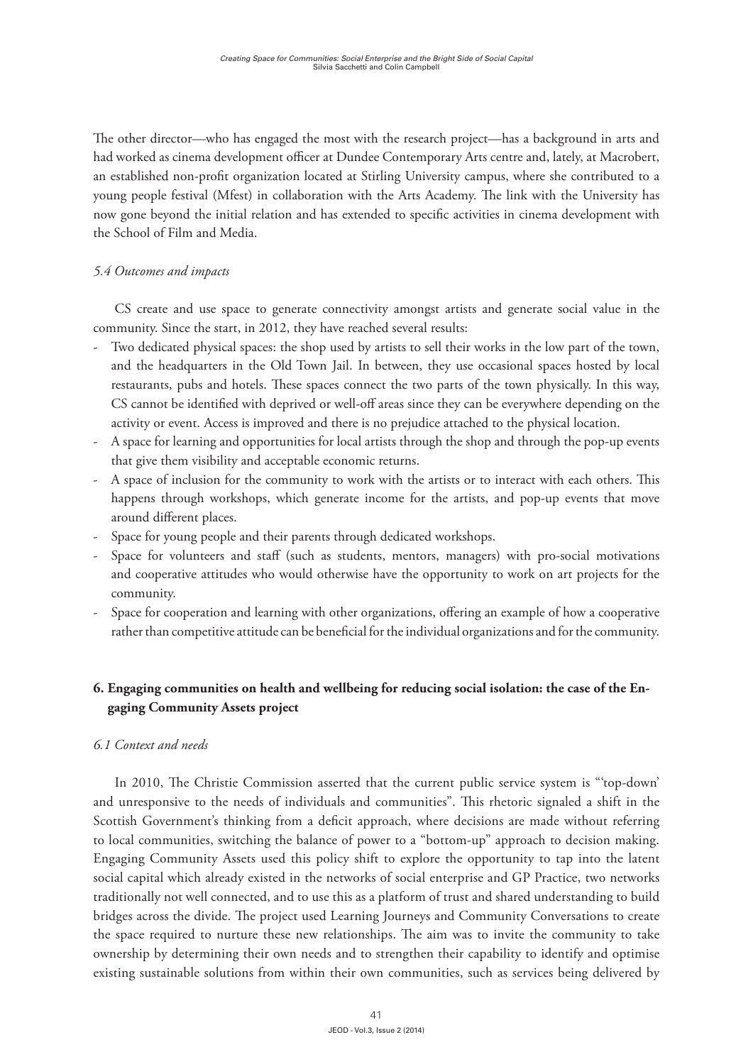The other director—who has engaged the most with the research project—has a background in arts and had worked as cinema development officer at Dundee Contemporary Arts centre and, lately, at Macrobert, an established non-profit organization located at Stirling University campus, where she contributed to a young people festival (Mfest) in collaboration with the Arts Academy. The link with the University has now gone beyond the initial relation and has extended to specific activities in cinema development with the School of Film and Media.

## *5.4 Outcomes and impacts*

CS create and use space to generate connectivity amongst artists and generate social value in the community. Since the start, in 2012, they have reached several results:

- Two dedicated physical spaces: the shop used by artists to sell their works in the low part of the town, and the headquarters in the Old Town Jail. In between, they use occasional spaces hosted by local restaurants, pubs and hotels. These spaces connect the two parts of the town physically. In this way, CS cannot be identified with deprived or well-off areas since they can be everywhere depending on the activity or event. Access is improved and there is no prejudice attached to the physical location.
- A space for learning and opportunities for local artists through the shop and through the pop-up events that give them visibility and acceptable economic returns.
- A space of inclusion for the community to work with the artists or to interact with each others. This happens through workshops, which generate income for the artists, and pop-up events that move around different places.
- Space for young people and their parents through dedicated workshops.
- Space for volunteers and staff (such as students, mentors, managers) with pro-social motivations and cooperative attitudes who would otherwise have the opportunity to work on art projects for the community.
- Space for cooperation and learning with other organizations, offering an example of how a cooperative rather than competitive attitude can be beneficial for the individual organizations and for the community.

# **6. Engaging communities on health and wellbeing for reducing social isolation: the case of the Engaging Community Assets project**

## *6.1 Context and needs*

In 2010, The Christie Commission asserted that the current public service system is "'top-down' and unresponsive to the needs of individuals and communities". This rhetoric signaled a shift in the Scottish Government's thinking from a deficit approach, where decisions are made without referring to local communities, switching the balance of power to a "bottom-up" approach to decision making. Engaging Community Assets used this policy shift to explore the opportunity to tap into the latent social capital which already existed in the networks of social enterprise and GP Practice, two networks traditionally not well connected, and to use this as a platform of trust and shared understanding to build bridges across the divide. The project used Learning Journeys and Community Conversations to create the space required to nurture these new relationships. The aim was to invite the community to take ownership by determining their own needs and to strengthen their capability to identify and optimise existing sustainable solutions from within their own communities, such as services being delivered by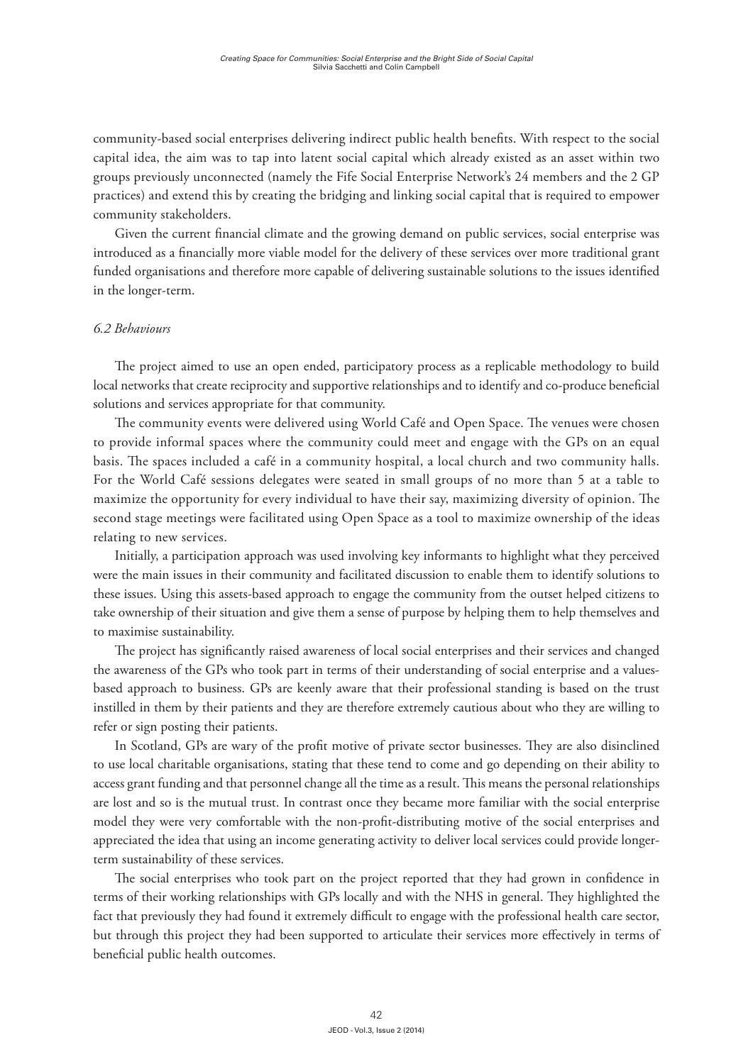community-based social enterprises delivering indirect public health benefits. With respect to the social capital idea, the aim was to tap into latent social capital which already existed as an asset within two groups previously unconnected (namely the Fife Social Enterprise Network's 24 members and the 2 GP practices) and extend this by creating the bridging and linking social capital that is required to empower community stakeholders.

Given the current financial climate and the growing demand on public services, social enterprise was introduced as a financially more viable model for the delivery of these services over more traditional grant funded organisations and therefore more capable of delivering sustainable solutions to the issues identified in the longer-term.

#### *6.2 Behaviours*

The project aimed to use an open ended, participatory process as a replicable methodology to build local networks that create reciprocity and supportive relationships and to identify and co-produce beneficial solutions and services appropriate for that community.

The community events were delivered using World Café and Open Space. The venues were chosen to provide informal spaces where the community could meet and engage with the GPs on an equal basis. The spaces included a café in a community hospital, a local church and two community halls. For the World Café sessions delegates were seated in small groups of no more than 5 at a table to maximize the opportunity for every individual to have their say, maximizing diversity of opinion. The second stage meetings were facilitated using Open Space as a tool to maximize ownership of the ideas relating to new services.

Initially, a participation approach was used involving key informants to highlight what they perceived were the main issues in their community and facilitated discussion to enable them to identify solutions to these issues. Using this assets-based approach to engage the community from the outset helped citizens to take ownership of their situation and give them a sense of purpose by helping them to help themselves and to maximise sustainability.

The project has significantly raised awareness of local social enterprises and their services and changed the awareness of the GPs who took part in terms of their understanding of social enterprise and a valuesbased approach to business. GPs are keenly aware that their professional standing is based on the trust instilled in them by their patients and they are therefore extremely cautious about who they are willing to refer or sign posting their patients.

In Scotland, GPs are wary of the profit motive of private sector businesses. They are also disinclined to use local charitable organisations, stating that these tend to come and go depending on their ability to access grant funding and that personnel change all the time as a result. This means the personal relationships are lost and so is the mutual trust. In contrast once they became more familiar with the social enterprise model they were very comfortable with the non-profit-distributing motive of the social enterprises and appreciated the idea that using an income generating activity to deliver local services could provide longerterm sustainability of these services.

The social enterprises who took part on the project reported that they had grown in confidence in terms of their working relationships with GPs locally and with the NHS in general. They highlighted the fact that previously they had found it extremely difficult to engage with the professional health care sector, but through this project they had been supported to articulate their services more effectively in terms of beneficial public health outcomes.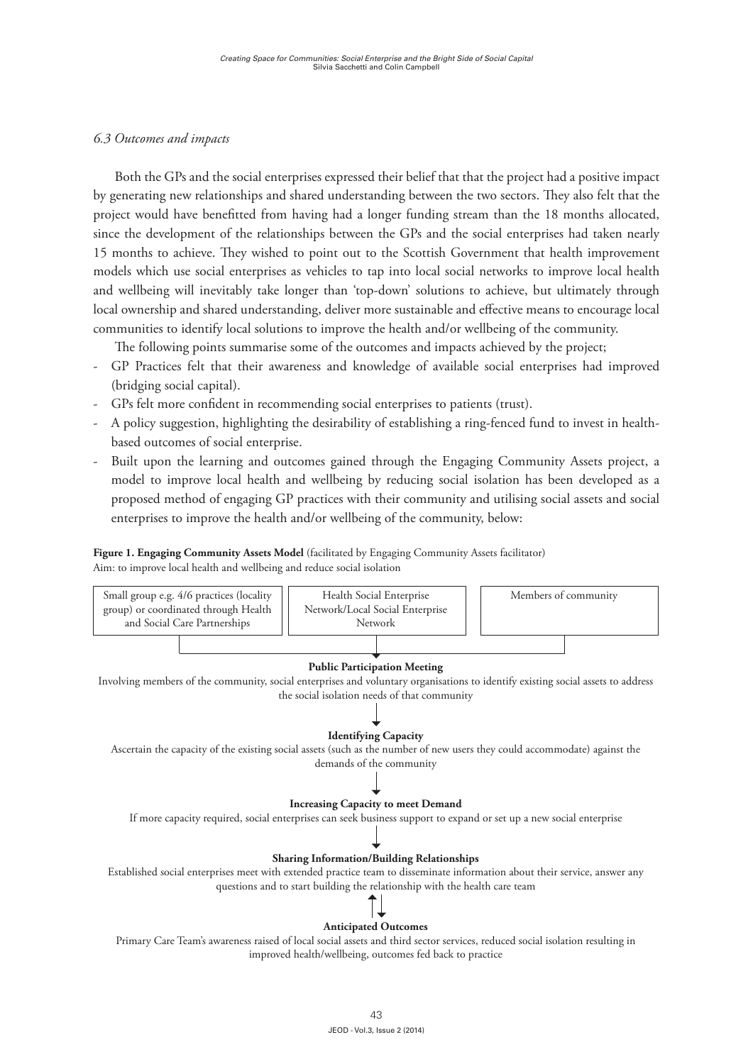### *6.3 Outcomes and impacts*

Both the GPs and the social enterprises expressed their belief that that the project had a positive impact by generating new relationships and shared understanding between the two sectors. They also felt that the project would have benefitted from having had a longer funding stream than the 18 months allocated, since the development of the relationships between the GPs and the social enterprises had taken nearly 15 months to achieve. They wished to point out to the Scottish Government that health improvement models which use social enterprises as vehicles to tap into local social networks to improve local health and wellbeing will inevitably take longer than 'top-down' solutions to achieve, but ultimately through local ownership and shared understanding, deliver more sustainable and effective means to encourage local communities to identify local solutions to improve the health and/or wellbeing of the community.

The following points summarise some of the outcomes and impacts achieved by the project;

- GP Practices felt that their awareness and knowledge of available social enterprises had improved (bridging social capital).
- GPs felt more confident in recommending social enterprises to patients (trust).
- A policy suggestion, highlighting the desirability of establishing a ring-fenced fund to invest in healthbased outcomes of social enterprise.
- Built upon the learning and outcomes gained through the Engaging Community Assets project, a model to improve local health and wellbeing by reducing social isolation has been developed as a proposed method of engaging GP practices with their community and utilising social assets and social enterprises to improve the health and/or wellbeing of the community, below:

#### **Figure 1. Engaging Community Assets Model** (facilitated by Engaging Community Assets facilitator) Aim: to improve local health and wellbeing and reduce social isolation



improved health/wellbeing, outcomes fed back to practice

43 JEOD - Vol.3, Issue 2 (2014)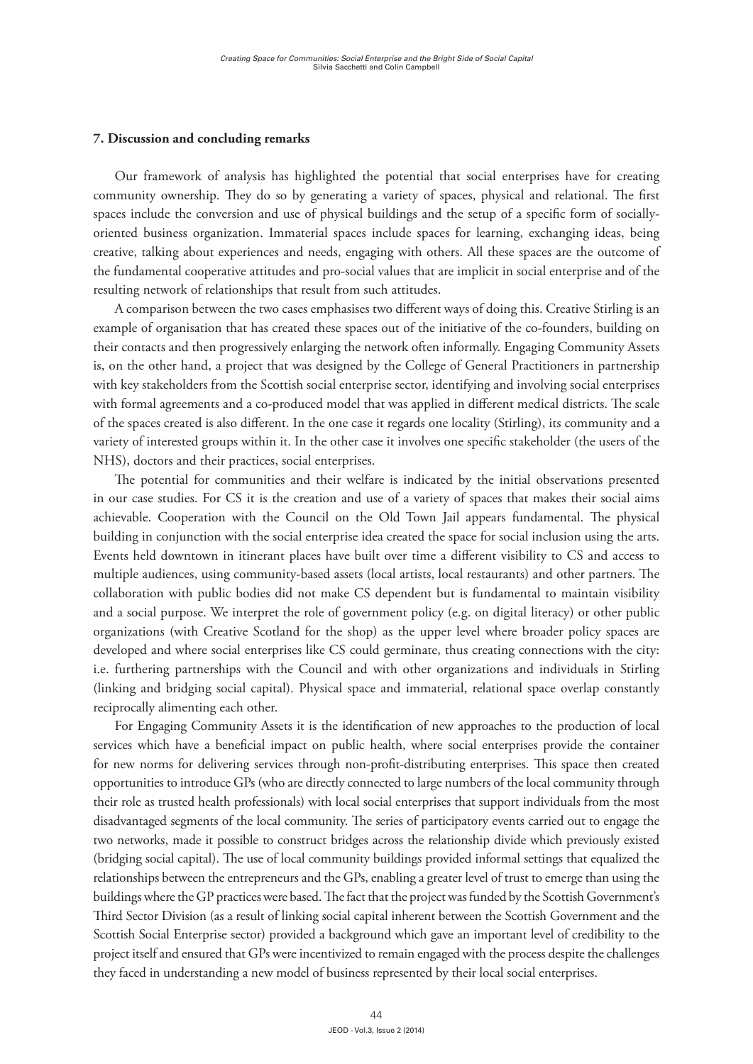#### **7. Discussion and concluding remarks**

Our framework of analysis has highlighted the potential that social enterprises have for creating community ownership. They do so by generating a variety of spaces, physical and relational. The first spaces include the conversion and use of physical buildings and the setup of a specific form of sociallyoriented business organization. Immaterial spaces include spaces for learning, exchanging ideas, being creative, talking about experiences and needs, engaging with others. All these spaces are the outcome of the fundamental cooperative attitudes and pro-social values that are implicit in social enterprise and of the resulting network of relationships that result from such attitudes.

A comparison between the two cases emphasises two different ways of doing this. Creative Stirling is an example of organisation that has created these spaces out of the initiative of the co-founders, building on their contacts and then progressively enlarging the network often informally. Engaging Community Assets is, on the other hand, a project that was designed by the College of General Practitioners in partnership with key stakeholders from the Scottish social enterprise sector, identifying and involving social enterprises with formal agreements and a co-produced model that was applied in different medical districts. The scale of the spaces created is also different. In the one case it regards one locality (Stirling), its community and a variety of interested groups within it. In the other case it involves one specific stakeholder (the users of the NHS), doctors and their practices, social enterprises.

The potential for communities and their welfare is indicated by the initial observations presented in our case studies. For CS it is the creation and use of a variety of spaces that makes their social aims achievable. Cooperation with the Council on the Old Town Jail appears fundamental. The physical building in conjunction with the social enterprise idea created the space for social inclusion using the arts. Events held downtown in itinerant places have built over time a different visibility to CS and access to multiple audiences, using community-based assets (local artists, local restaurants) and other partners. The collaboration with public bodies did not make CS dependent but is fundamental to maintain visibility and a social purpose. We interpret the role of government policy (e.g. on digital literacy) or other public organizations (with Creative Scotland for the shop) as the upper level where broader policy spaces are developed and where social enterprises like CS could germinate, thus creating connections with the city: i.e. furthering partnerships with the Council and with other organizations and individuals in Stirling (linking and bridging social capital). Physical space and immaterial, relational space overlap constantly reciprocally alimenting each other.

For Engaging Community Assets it is the identification of new approaches to the production of local services which have a beneficial impact on public health, where social enterprises provide the container for new norms for delivering services through non-profit-distributing enterprises. This space then created opportunities to introduce GPs (who are directly connected to large numbers of the local community through their role as trusted health professionals) with local social enterprises that support individuals from the most disadvantaged segments of the local community. The series of participatory events carried out to engage the two networks, made it possible to construct bridges across the relationship divide which previously existed (bridging social capital). The use of local community buildings provided informal settings that equalized the relationships between the entrepreneurs and the GPs, enabling a greater level of trust to emerge than using the buildings where the GP practices were based. The fact that the project was funded by the Scottish Government's Third Sector Division (as a result of linking social capital inherent between the Scottish Government and the Scottish Social Enterprise sector) provided a background which gave an important level of credibility to the project itself and ensured that GPs were incentivized to remain engaged with the process despite the challenges they faced in understanding a new model of business represented by their local social enterprises.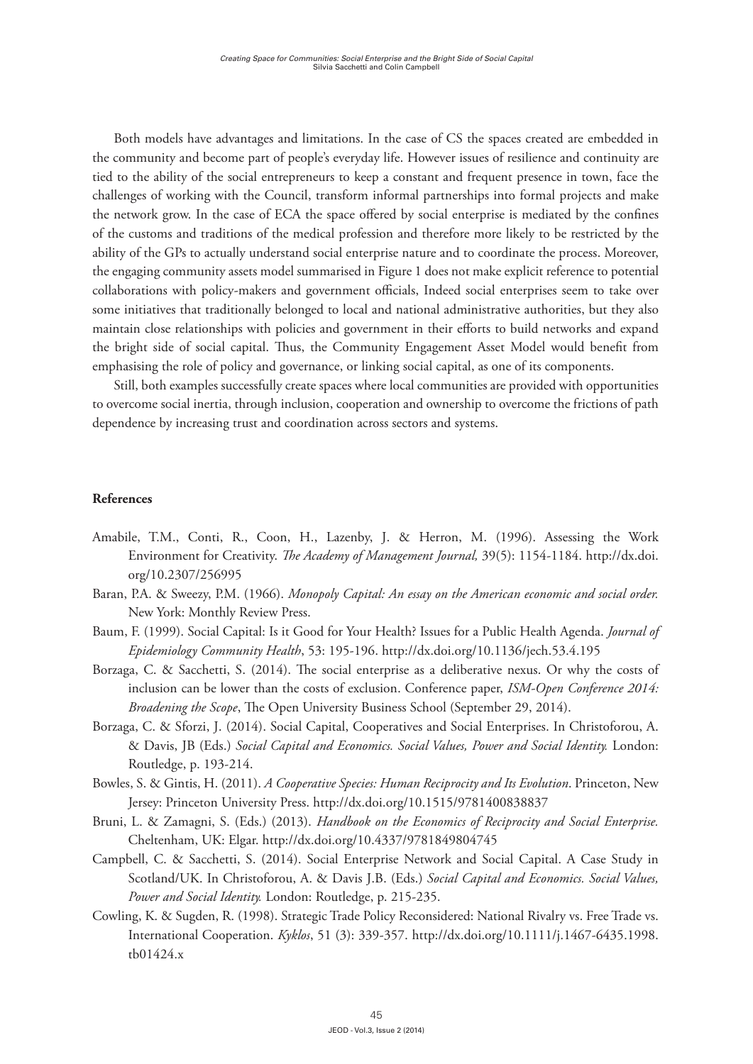Both models have advantages and limitations. In the case of CS the spaces created are embedded in the community and become part of people's everyday life. However issues of resilience and continuity are tied to the ability of the social entrepreneurs to keep a constant and frequent presence in town, face the challenges of working with the Council, transform informal partnerships into formal projects and make the network grow. In the case of ECA the space offered by social enterprise is mediated by the confines of the customs and traditions of the medical profession and therefore more likely to be restricted by the ability of the GPs to actually understand social enterprise nature and to coordinate the process. Moreover, the engaging community assets model summarised in Figure 1 does not make explicit reference to potential collaborations with policy-makers and government officials, Indeed social enterprises seem to take over some initiatives that traditionally belonged to local and national administrative authorities, but they also maintain close relationships with policies and government in their efforts to build networks and expand the bright side of social capital. Thus, the Community Engagement Asset Model would benefit from emphasising the role of policy and governance, or linking social capital, as one of its components.

Still, both examples successfully create spaces where local communities are provided with opportunities to overcome social inertia, through inclusion, cooperation and ownership to overcome the frictions of path dependence by increasing trust and coordination across sectors and systems.

## **References**

- Amabile, T.M., Conti, R., Coon, H., Lazenby, J. & Herron, M. (1996). Assessing the Work Environment for Creativity. *The Academy of Management Journal,* 39(5): 1154-1184. http://dx.doi. org/10.2307/256995
- Baran, P.A. & Sweezy, P.M. (1966). *Monopoly Capital: An essay on the American economic and social order.*  New York: Monthly Review Press.
- Baum, F. (1999). Social Capital: Is it Good for Your Health? Issues for a Public Health Agenda. *Journal of Epidemiology Community Health*, 53: 195-196. http://dx.doi.org/10.1136/jech.53.4.195
- Borzaga, C. & Sacchetti, S. (2014). The social enterprise as a deliberative nexus. Or why the costs of inclusion can be lower than the costs of exclusion. Conference paper, *ISM-Open Conference 2014: Broadening the Scope*, The Open University Business School (September 29, 2014).
- Borzaga, C. & Sforzi, J. (2014). Social Capital, Cooperatives and Social Enterprises. In Christoforou, A. & Davis, JB (Eds.) *Social Capital and Economics. Social Values, Power and Social Identity.* London: Routledge, p. 193-214.
- Bowles, S. & Gintis, H. (2011). *A Cooperative Species: Human Reciprocity and Its Evolution*. Princeton, New Jersey: Princeton University Press. http://dx.doi.org/10.1515/9781400838837
- Bruni, L. & Zamagni, S. (Eds.) (2013). *Handbook on the Economics of Reciprocity and Social Enterprise.*  Cheltenham, UK: Elgar. http://dx.doi.org/10.4337/9781849804745
- Campbell, C. & Sacchetti, S. (2014). Social Enterprise Network and Social Capital. A Case Study in Scotland/UK. In Christoforou, A. & Davis J.B. (Eds.) *Social Capital and Economics. Social Values, Power and Social Identity.* London: Routledge, p. 215-235.
- Cowling, K. & Sugden, R. (1998). Strategic Trade Policy Reconsidered: National Rivalry vs. Free Trade vs. International Cooperation. *Kyklos*, 51 (3): 339-357. http://dx.doi.org/10.1111/j.1467-6435.1998. tb01424.x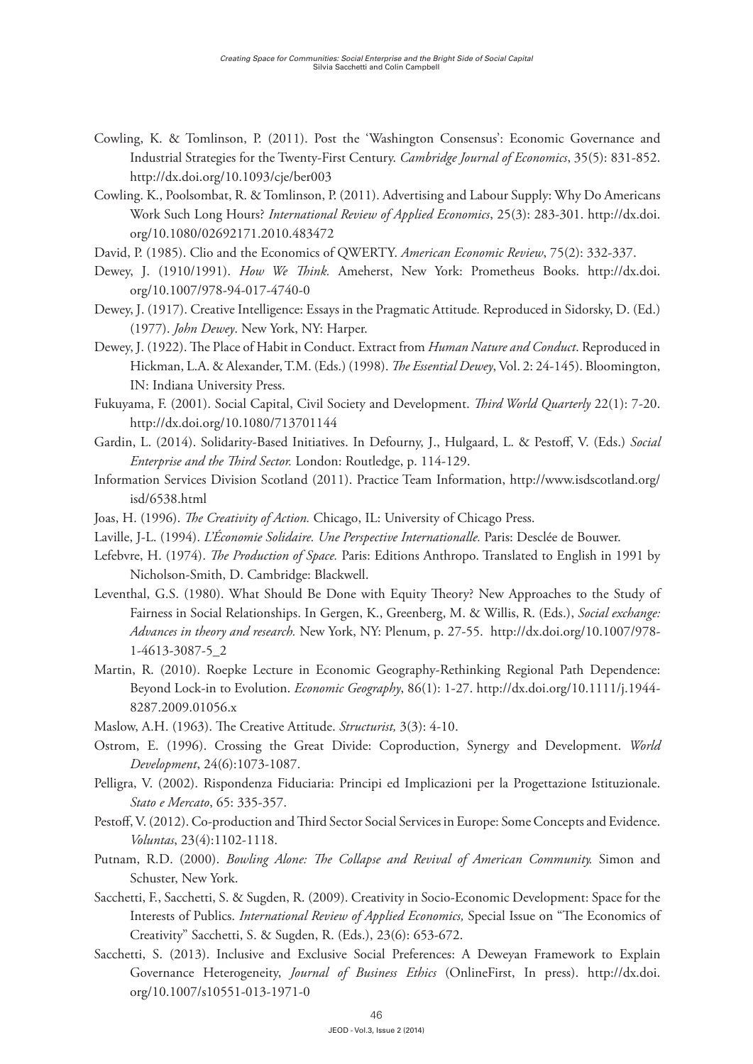- Cowling, K. & Tomlinson, P. (2011). Post the 'Washington Consensus': Economic Governance and Industrial Strategies for the Twenty-First Century. *Cambridge Journal of Economics*, 35(5): 831-852. http://dx.doi.org/10.1093/cje/ber003
- Cowling. K., Poolsombat, R. & Tomlinson, P. (2011). Advertising and Labour Supply: Why Do Americans Work Such Long Hours? *International Review of Applied Economics*, 25(3): 283-301. http://dx.doi. org/10.1080/02692171.2010.483472
- David, P. (1985). Clio and the Economics of QWERTY. *American Economic Review*, 75(2): 332-337.
- Dewey, J. (1910/1991). *How We Think.* Ameherst, New York: Prometheus Books. http://dx.doi. org/10.1007/978-94-017-4740-0
- Dewey, J. (1917). Creative Intelligence: Essays in the Pragmatic Attitude*.* Reproduced in Sidorsky, D. (Ed.) (1977). *John Dewey*. New York, NY: Harper.
- Dewey, J. (1922). The Place of Habit in Conduct. Extract from *Human Nature and Conduct*. Reproduced in Hickman, L.A. & Alexander, T.M. (Eds.) (1998). *The Essential Dewey*, Vol. 2: 24-145). Bloomington, IN: Indiana University Press.
- Fukuyama, F. (2001). Social Capital, Civil Society and Development. *Third World Quarterly* 22(1): 7-20. http://dx.doi.org/10.1080/713701144
- Gardin, L. (2014). Solidarity-Based Initiatives. In Defourny, J., Hulgaard, L. & Pestoff, V. (Eds.) *Social Enterprise and the Third Sector.* London: Routledge, p. 114-129.
- Information Services Division Scotland (2011). Practice Team Information, http://www.isdscotland.org/ isd/6538.html
- Joas, H. (1996). *The Creativity of Action.* Chicago, IL: University of Chicago Press.
- Laville, J-L. (1994). *L'Économie Solidaire. Une Perspective Internationalle.* Paris: Desclée de Bouwer.
- Lefebvre, H. (1974). *The Production of Space.* Paris: Editions Anthropo. Translated to English in 1991 by Nicholson-Smith, D. Cambridge: Blackwell.
- Leventhal, G.S. (1980). What Should Be Done with Equity Theory? New Approaches to the Study of Fairness in Social Relationships. In Gergen, K., Greenberg, M. & Willis, R. (Eds.), *Social exchange: Advances in theory and research.* New York, NY: Plenum, p. 27-55. http://dx.doi.org/10.1007/978- 1-4613-3087-5\_2
- Martin, R. (2010). Roepke Lecture in Economic Geography-Rethinking Regional Path Dependence: Beyond Lock-in to Evolution. *Economic Geography*, 86(1): 1-27. http://dx.doi.org/10.1111/j.1944- 8287.2009.01056.x
- Maslow, A.H. (1963). The Creative Attitude. *Structurist,* 3(3): 4-10.
- Ostrom, E. (1996). Crossing the Great Divide: Coproduction, Synergy and Development. *World Development*, 24(6):1073-1087.
- Pelligra, V. (2002). Rispondenza Fiduciaria: Principi ed Implicazioni per la Progettazione Istituzionale. *Stato e Mercato*, 65: 335-357.
- Pestoff, V. (2012). Co-production and Third Sector Social Services in Europe: Some Concepts and Evidence. *Voluntas*, 23(4):1102-1118.
- Putnam, R.D. (2000). *Bowling Alone: The Collapse and Revival of American Community.* Simon and Schuster, New York.
- Sacchetti, F., Sacchetti, S. & Sugden, R. (2009). Creativity in Socio-Economic Development: Space for the Interests of Publics. *International Review of Applied Economics,* Special Issue on "The Economics of Creativity" Sacchetti, S. & Sugden, R. (Eds.), 23(6): 653-672.
- Sacchetti, S. (2013). Inclusive and Exclusive Social Preferences: A Deweyan Framework to Explain Governance Heterogeneity, *Journal of Business Ethics* (OnlineFirst, In press). http://dx.doi. org/10.1007/s10551-013-1971-0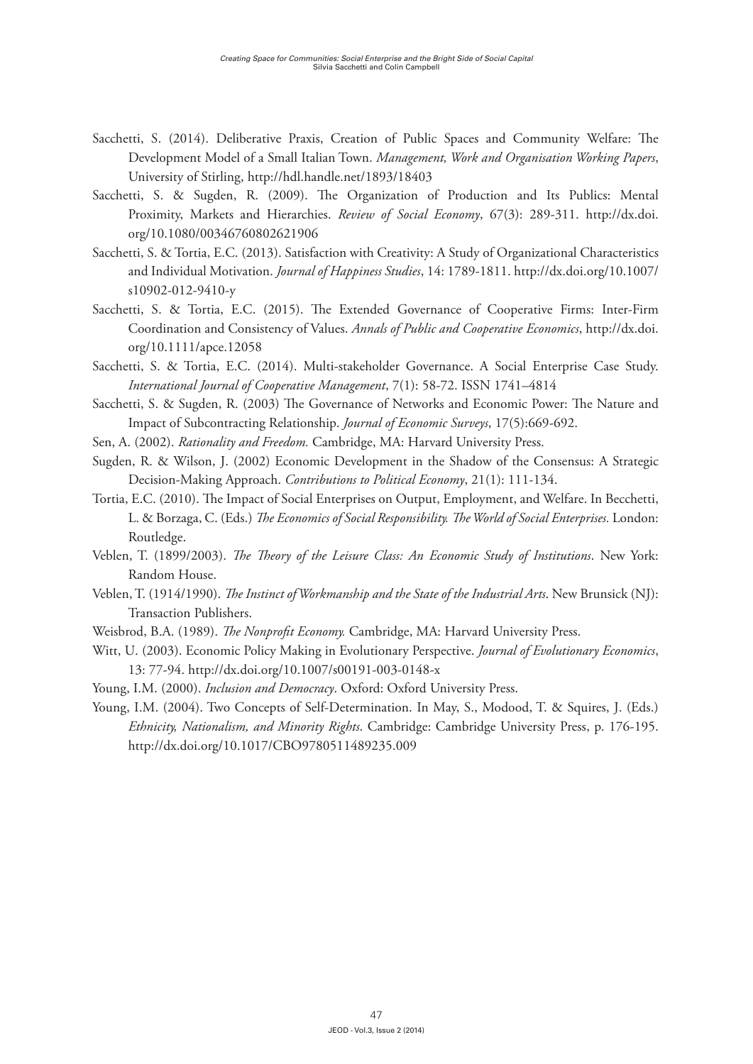- Sacchetti, S. (2014). Deliberative Praxis, Creation of Public Spaces and Community Welfare: The Development Model of a Small Italian Town. *Management, Work and Organisation Working Papers*, University of Stirling, http://hdl.handle.net/1893/18403
- Sacchetti, S. & Sugden, R. (2009). The Organization of Production and Its Publics: Mental Proximity, Markets and Hierarchies. *Review of Social Economy*, 67(3): 289-311. http://dx.doi. org/10.1080/00346760802621906
- Sacchetti, S. & Tortia, E.C. (2013). Satisfaction with Creativity: A Study of Organizational Characteristics and Individual Motivation. *Journal of Happiness Studies*, 14: 1789-1811. http://dx.doi.org/10.1007/ s10902-012-9410-y
- Sacchetti, S. & Tortia, E.C. (2015). The Extended Governance of Cooperative Firms: Inter-Firm Coordination and Consistency of Values. *Annals of Public and Cooperative Economics*, http://dx.doi. org/10.1111/apce.12058
- Sacchetti, S. & Tortia, E.C. (2014). Multi-stakeholder Governance. A Social Enterprise Case Study. *International Journal of Cooperative Management*, 7(1): 58-72. ISSN 1741–4814
- Sacchetti, S. & Sugden, R. (2003) The Governance of Networks and Economic Power: The Nature and Impact of Subcontracting Relationship. *Journal of Economic Surveys*, 17(5):669-692.
- Sen, A. (2002). *Rationality and Freedom.* Cambridge, MA: Harvard University Press.
- Sugden, R. & Wilson, J. (2002) Economic Development in the Shadow of the Consensus: A Strategic Decision‐Making Approach. *Contributions to Political Economy*, 21(1): 111-134.
- Tortia, E.C. (2010). The Impact of Social Enterprises on Output, Employment, and Welfare. In Becchetti, L. & Borzaga, C. (Eds.) *The Economics of Social Responsibility. The World of Social Enterprises.* London: Routledge.
- Veblen, T. (1899/2003). *The Theory of the Leisure Class: An Economic Study of Institutions*. New York: Random House.
- Veblen, T. (1914/1990). *The Instinct of Workmanship and the State of the Industrial Arts*. New Brunsick (NJ): Transaction Publishers.
- Weisbrod, B.A. (1989). *The Nonprofit Economy.* Cambridge, MA: Harvard University Press.
- Witt, U. (2003). Economic Policy Making in Evolutionary Perspective. *Journal of Evolutionary Economics*, 13: 77-94. http://dx.doi.org/10.1007/s00191-003-0148-x
- Young, I.M. (2000). *Inclusion and Democracy*. Oxford: Oxford University Press.
- Young, I.M. (2004). Two Concepts of Self-Determination. In May, S., Modood, T. & Squires, J. (Eds.) *Ethnicity, Nationalism, and Minority Rights*. Cambridge: Cambridge University Press, p. 176-195. http://dx.doi.org/10.1017/CBO9780511489235.009